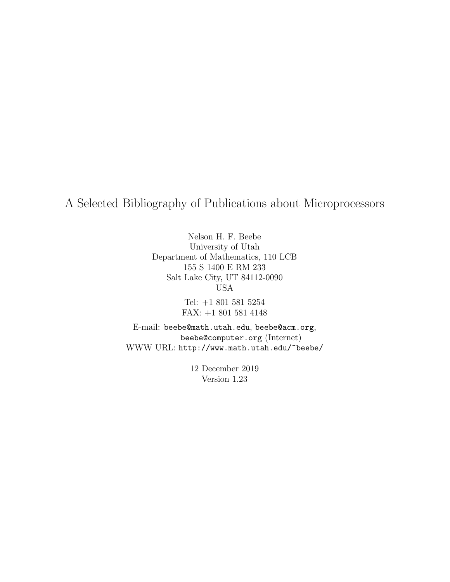A Selected Bibliography of Publications about Microprocessors

Nelson H. F. Beebe University of Utah Department of Mathematics, 110 LCB 155 S 1400 E RM 233 Salt Lake City, UT 84112-0090 USA

> Tel: +1 801 581 5254 FAX: +1 801 581 4148

E-mail: beebe@math.utah.edu, beebe@acm.org, beebe@computer.org (Internet) WWW URL: http://www.math.utah.edu/~beebe/

> 12 December 2019 Version 1.23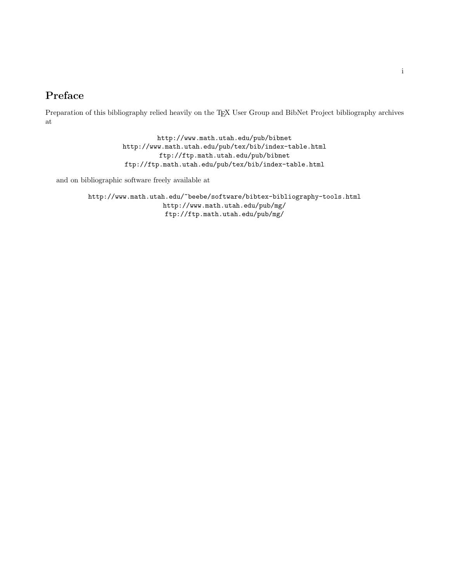## **Preface**

Preparation of this bibliography relied heavily on the TEX User Group and BibNet Project bibliography archives at

> http://www.math.utah.edu/pub/bibnet http://www.math.utah.edu/pub/tex/bib/index-table.html ftp://ftp.math.utah.edu/pub/bibnet ftp://ftp.math.utah.edu/pub/tex/bib/index-table.html

and on bibliographic software freely available at

http://www.math.utah.edu/~beebe/software/bibtex-bibliography-tools.html http://www.math.utah.edu/pub/mg/ ftp://ftp.math.utah.edu/pub/mg/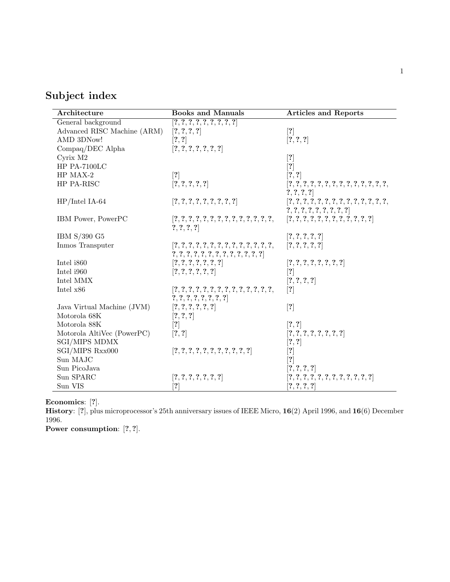## **Subject index**

| Architecture                | <b>Books and Manuals</b>                                                                                                                                                                                  | <b>Articles and Reports</b>                                                                                                                                                                                                                                                                                                                                                                                                                                                                                                                                                                                                                                                                                                                                                                                                                                                                                                                                                                                                                                                                                                                                                 |
|-----------------------------|-----------------------------------------------------------------------------------------------------------------------------------------------------------------------------------------------------------|-----------------------------------------------------------------------------------------------------------------------------------------------------------------------------------------------------------------------------------------------------------------------------------------------------------------------------------------------------------------------------------------------------------------------------------------------------------------------------------------------------------------------------------------------------------------------------------------------------------------------------------------------------------------------------------------------------------------------------------------------------------------------------------------------------------------------------------------------------------------------------------------------------------------------------------------------------------------------------------------------------------------------------------------------------------------------------------------------------------------------------------------------------------------------------|
| General background          | [?,?,?,?,?,?,?,?,?]                                                                                                                                                                                       |                                                                                                                                                                                                                                                                                                                                                                                                                                                                                                                                                                                                                                                                                                                                                                                                                                                                                                                                                                                                                                                                                                                                                                             |
| Advanced RISC Machine (ARM) | [?,?,?,?]                                                                                                                                                                                                 | $[?]$                                                                                                                                                                                                                                                                                                                                                                                                                                                                                                                                                                                                                                                                                                                                                                                                                                                                                                                                                                                                                                                                                                                                                                       |
| AMD 3DNow!                  | [?, ?]                                                                                                                                                                                                    | [?,?,?]                                                                                                                                                                                                                                                                                                                                                                                                                                                                                                                                                                                                                                                                                                                                                                                                                                                                                                                                                                                                                                                                                                                                                                     |
| Compaq/DEC Alpha            | [?,?,?,?,?,?,?]                                                                                                                                                                                           |                                                                                                                                                                                                                                                                                                                                                                                                                                                                                                                                                                                                                                                                                                                                                                                                                                                                                                                                                                                                                                                                                                                                                                             |
| Cyrix M2                    |                                                                                                                                                                                                           | $[?]$                                                                                                                                                                                                                                                                                                                                                                                                                                                                                                                                                                                                                                                                                                                                                                                                                                                                                                                                                                                                                                                                                                                                                                       |
| HP PA-7100LC                |                                                                                                                                                                                                           | $[?] % \begin{subfigure}[t]{0.5\textwidth} \includegraphics[width=\textwidth]{figures/fig_10.pdf} \caption{The number of different values of the number of different values of the number of different values of the number of different values of the number of different values of the number of different values of the number of different values of the number of different values of the number of different values of the number of different values of the number of different values of the number of different values of the number of different values of the number of different values of the number of different values of the number of different values of the number of different values of the number of different values of the number of different values of the number of different values of the number of different values of the number of different values of the number of different values of the number of different values of the number of different values of the number of different values of the number of different values of the number of different values of the number of different values of the number of different values of the$ |
| HP MAX-2                    | [?]                                                                                                                                                                                                       | [?, ?]                                                                                                                                                                                                                                                                                                                                                                                                                                                                                                                                                                                                                                                                                                                                                                                                                                                                                                                                                                                                                                                                                                                                                                      |
| HP PA-RISC                  | [?,?,?,?,?]                                                                                                                                                                                               | $[?,?,?,?,?,?,?,?,?,?,?,?,?,?,$ ,                                                                                                                                                                                                                                                                                                                                                                                                                                                                                                                                                                                                                                                                                                                                                                                                                                                                                                                                                                                                                                                                                                                                           |
|                             |                                                                                                                                                                                                           | [?,?,?,?]                                                                                                                                                                                                                                                                                                                                                                                                                                                                                                                                                                                                                                                                                                                                                                                                                                                                                                                                                                                                                                                                                                                                                                   |
| $HP/Intel$ IA-64            | [?,?,?,?,?,?,?,?,?,?]                                                                                                                                                                                     | [?,?,?,?,?,?,?,?,?,?,?,?,?,?,                                                                                                                                                                                                                                                                                                                                                                                                                                                                                                                                                                                                                                                                                                                                                                                                                                                                                                                                                                                                                                                                                                                                               |
|                             |                                                                                                                                                                                                           | ${?}, {?}, {?}, {?}, {?}, {?}, {?}, {?}$                                                                                                                                                                                                                                                                                                                                                                                                                                                                                                                                                                                                                                                                                                                                                                                                                                                                                                                                                                                                                                                                                                                                    |
| IBM Power, PowerPC          | $[?,?,?,?,?,?,?,?,?,?,?,?,?,?,$ ,                                                                                                                                                                         | [?,?,?,?,?,?,?,?,?,?,?,?,?]                                                                                                                                                                                                                                                                                                                                                                                                                                                                                                                                                                                                                                                                                                                                                                                                                                                                                                                                                                                                                                                                                                                                                 |
|                             | ?,?,?,?                                                                                                                                                                                                   |                                                                                                                                                                                                                                                                                                                                                                                                                                                                                                                                                                                                                                                                                                                                                                                                                                                                                                                                                                                                                                                                                                                                                                             |
| IBM S/390 G5                |                                                                                                                                                                                                           | [?,?,?,?,?]                                                                                                                                                                                                                                                                                                                                                                                                                                                                                                                                                                                                                                                                                                                                                                                                                                                                                                                                                                                                                                                                                                                                                                 |
| Inmos Transputer            |                                                                                                                                                                                                           | [?,?,?,?,?]                                                                                                                                                                                                                                                                                                                                                                                                                                                                                                                                                                                                                                                                                                                                                                                                                                                                                                                                                                                                                                                                                                                                                                 |
|                             |                                                                                                                                                                                                           |                                                                                                                                                                                                                                                                                                                                                                                                                                                                                                                                                                                                                                                                                                                                                                                                                                                                                                                                                                                                                                                                                                                                                                             |
| Intel i860                  | [?,?,?,?,?,?,?]                                                                                                                                                                                           | [?,?,?,?,?,?,?,?]                                                                                                                                                                                                                                                                                                                                                                                                                                                                                                                                                                                                                                                                                                                                                                                                                                                                                                                                                                                                                                                                                                                                                           |
| Intel i960                  | [?,?,?,?,?,?]                                                                                                                                                                                             | [?]                                                                                                                                                                                                                                                                                                                                                                                                                                                                                                                                                                                                                                                                                                                                                                                                                                                                                                                                                                                                                                                                                                                                                                         |
| Intel MMX                   |                                                                                                                                                                                                           | [?,?,?,?]                                                                                                                                                                                                                                                                                                                                                                                                                                                                                                                                                                                                                                                                                                                                                                                                                                                                                                                                                                                                                                                                                                                                                                   |
| Intel x86                   |                                                                                                                                                                                                           | [?]                                                                                                                                                                                                                                                                                                                                                                                                                                                                                                                                                                                                                                                                                                                                                                                                                                                                                                                                                                                                                                                                                                                                                                         |
|                             | ?,?,?,?,?,?,?,?                                                                                                                                                                                           |                                                                                                                                                                                                                                                                                                                                                                                                                                                                                                                                                                                                                                                                                                                                                                                                                                                                                                                                                                                                                                                                                                                                                                             |
| Java Virtual Machine (JVM)  | [?,?,?,?,?,?]                                                                                                                                                                                             | $[?]$                                                                                                                                                                                                                                                                                                                                                                                                                                                                                                                                                                                                                                                                                                                                                                                                                                                                                                                                                                                                                                                                                                                                                                       |
| Motorola 68K                | [?,?,?]                                                                                                                                                                                                   |                                                                                                                                                                                                                                                                                                                                                                                                                                                                                                                                                                                                                                                                                                                                                                                                                                                                                                                                                                                                                                                                                                                                                                             |
| Motorola 88K                | $[?] % \includegraphics[width=0.9\columnwidth]{figures/fig_1a} \caption{The graph $\mathcal{N}_1$ is a function of the number of times. The graph $\mathcal{N}_1$ is the number of times.} \label{fig:1}$ | [?, ?]                                                                                                                                                                                                                                                                                                                                                                                                                                                                                                                                                                                                                                                                                                                                                                                                                                                                                                                                                                                                                                                                                                                                                                      |
| Motorola AltiVec (PowerPC)  | [?, ?]                                                                                                                                                                                                    | [?,?,?,?,?,?,?,?,?]                                                                                                                                                                                                                                                                                                                                                                                                                                                                                                                                                                                                                                                                                                                                                                                                                                                                                                                                                                                                                                                                                                                                                         |
| <b>SGI/MIPS MDMX</b>        |                                                                                                                                                                                                           | [?, ?]                                                                                                                                                                                                                                                                                                                                                                                                                                                                                                                                                                                                                                                                                                                                                                                                                                                                                                                                                                                                                                                                                                                                                                      |
| SGI/MIPS Rxx000             | [?,?,?,?,?,?,?,?,?,?,?,?]                                                                                                                                                                                 | [?]                                                                                                                                                                                                                                                                                                                                                                                                                                                                                                                                                                                                                                                                                                                                                                                                                                                                                                                                                                                                                                                                                                                                                                         |
| Sun MAJC                    |                                                                                                                                                                                                           | $\left\lceil ? \right\rceil$                                                                                                                                                                                                                                                                                                                                                                                                                                                                                                                                                                                                                                                                                                                                                                                                                                                                                                                                                                                                                                                                                                                                                |
| Sun PicoJava                |                                                                                                                                                                                                           | [?,?,?,?]                                                                                                                                                                                                                                                                                                                                                                                                                                                                                                                                                                                                                                                                                                                                                                                                                                                                                                                                                                                                                                                                                                                                                                   |
| Sun SPARC                   | [?,?,?,?,?,?,?]                                                                                                                                                                                           | [?,?,?,?,?,?,?,?,?,?,?,?,?]                                                                                                                                                                                                                                                                                                                                                                                                                                                                                                                                                                                                                                                                                                                                                                                                                                                                                                                                                                                                                                                                                                                                                 |
| Sun VIS                     | $\left\lceil ? \right\rceil$                                                                                                                                                                              | [?,?,?,?]                                                                                                                                                                                                                                                                                                                                                                                                                                                                                                                                                                                                                                                                                                                                                                                                                                                                                                                                                                                                                                                                                                                                                                   |

**Economics**: [**?**].

**History**: [**?**], plus microprocessor's 25th anniversary issues of IEEE Micro, **16**(2) April 1996, and **16**(6) December 1996.

**Power consumption**: [**?**, **?**].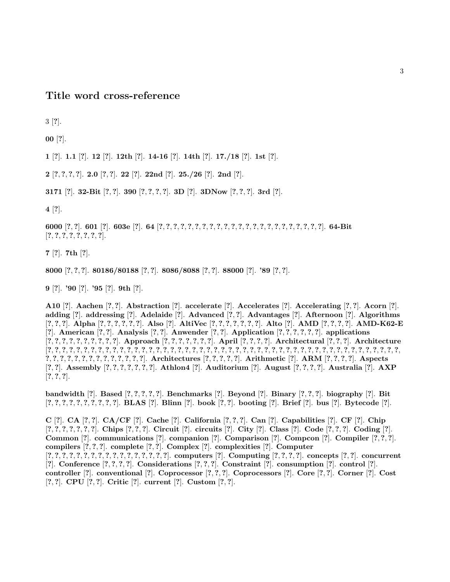**Title word cross-reference**

3 [**?**].

**00** [**?**].

**1** [**?**]. **1.1** [**?**]. **12** [**?**]. **12th** [**?**]. **14-16** [**?**]. **14th** [**?**]. **17./18** [**?**]. **1st** [**?**].

**2** [**?**, **?**, **?**, **?**]. **2.0** [**?**, **?**]. **22** [**?**]. **22nd** [**?**]. **25./26** [**?**]. **2nd** [**?**].

**3171** [**?**]. **32-Bit** [**?**, **?**]. **390** [**?**, **?**, **?**, **?**]. **3D** [**?**]. **3DNow** [**?**, **?**, **?**]. **3rd** [**?**].

**4** [**?**].

**6000** [**?**, **?**]. **601** [**?**]. **603e** [**?**]. **64** [**?**, **?**, **?**, **?**, **?**, **?**, **?**, **?**, **?**, **?**, **?**, **?**, **?**, **?**, **?**, **?**, **?**, **?**, **?**, **?**, **?**, **?**, **?**]. **64-Bit** [**?**, **?**, **?**, **?**, **?**, **?**, **?**, **?**].

**7** [**?**]. **7th** [**?**].

**8000** [**?**, **?**, **?**]. **80186/80188** [**?**, **?**]. **8086/8088** [**?**, **?**]. **88000** [**?**]. **'89** [**?**, **?**].

**9** [**?**]. **'90** [**?**]. **'95** [**?**]. **9th** [**?**].

**A10** [**?**]. **Aachen** [**?**, **?**]. **Abstraction** [**?**]. **accelerate** [**?**]. **Accelerates** [**?**]. **Accelerating** [**?**, **?**]. **Acorn** [**?**]. **adding** [**?**]. **addressing** [**?**]. **Adelaide** [**?**]. **Advanced** [**?**, **?**]. **Advantages** [**?**]. **Afternoon** [**?**]. **Algorithms** [?, ?, ?]. Alpha [?, ?, ?, ?, ?, ?]. Also [?]. AltiVec [?, ?, ?, ?, ?, ?, ?, ?]. Alto [?]. AMD [?, ?, ?, ?]. AMD-K62-E [?]. American [?, ?]. Analysis [?, ?]. Anwender [?, ?]. Application [?, ?, ?, ?, ?, ?, ?]. applications  $[?,?,?,?,?,?,?,?,?,']$ . Approach  $[?,?,?,?,?,?,',']$ . April  $[?,?,?,?,']$ . Architectural  $[?,?,?,']$ . Architecture [**?**, **?**, **?**, **?**, **?**, **?**, **?**, **?**, **?**, **?**, **?**, **?**, **?**, **?**, **?**, **?**, **?**, **?**, **?**, **?**, **?**, **?**, **?**, **?**, **?**, **?**, **?**, **?**, **?**, **?**, **?**, **?**, **?**, **?**, **?**, **?**, **?**, **?**, **?**, **?**, **?**, **?**, **?**, **?**, **?**, **?**, **?**, **?**, **?**,  $?,?,?,?,?,?,?,?,?,?,?,?$ ]. Architectures [?,?,?,?,?]. Arithmetic [?]. ARM [?,?,?,?]. Aspects  $[?, ?]$ . Assembly  $[?, ?, ?, ?, ?, ?, ?]$ . Athlon4  $[?]$ . Auditorium  $[?]$ . August  $[?, ?, ?, ?]$ . Australia  $[?]$ . AXP [**?**, **?**, **?**].

bandwidth [?]. Based [?, ?, ?, ?, ?]. Benchmarks [?]. Beyond [?]. Binary [?, ?, ?]. biography [?]. Bit  $[?,?,?,?,?,?,?,?,?,?,']$ . BLAS [?]. Blinn [?]. book [?, ?]. booting [?]. Brief [?]. bus [?]. Bytecode [?].

C [?]. CA [?, ?]. CA/CF [?]. Cache [?]. California [?, ?, ?]. Can [?]. Capabilities [?]. CF [?]. Chip  $[?,?,?,?,?,?,']$ . Chips  $[?,?,?,']$ . Circuit  $[?]$ . circuits  $[?]$ . City  $[?]$ . Class  $[?]$ . Code  $[?,?,?]$ . Coding  $[?]$ . **Common** [**?**]. **communications** [**?**]. **companion** [**?**]. **Comparison** [**?**]. **Compcon** [**?**]. **Compiler** [**?**, **?**, **?**]. **compilers** [**?**, **?**, **?**]. **complete** [**?**, **?**]. **Complex** [**?**]. **complexities** [**?**]. **Computer**  $[?,?,?,?,?,?,?,?,?,?,?,?,?,?,?,?]$ . computers  $[?,?,?,?,]$ . concepts  $[?,?,?,]$ . concepts  $[?,],$ [**?**]. **Conference** [**?**, **?**, **?**, **?**]. **Considerations** [**?**, **?**, **?**]. **Constraint** [**?**]. **consumption** [**?**]. **control** [**?**]. **controller** [**?**]. **conventional** [**?**]. **Coprocessor** [**?**, **?**, **?**]. **Coprocessors** [**?**]. **Core** [**?**, **?**]. **Corner** [**?**]. **Cost** [**?**, **?**]. **CPU** [**?**, **?**]. **Critic** [**?**]. **current** [**?**]. **Custom** [**?**, **?**].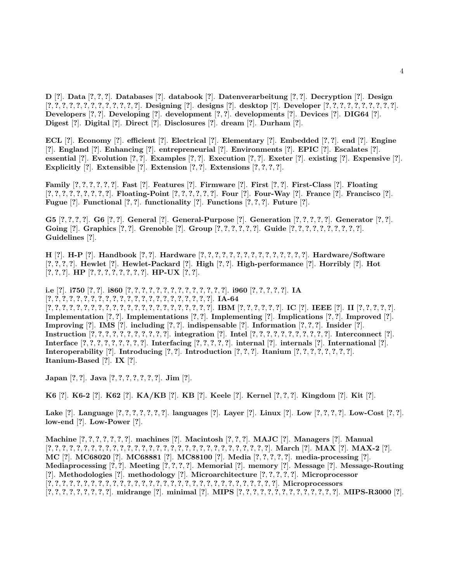**D** [**?**]. **Data** [**?**, **?**, **?**]. **Databases** [**?**]. **databook** [**?**]. **Datenverarbeitung** [**?**, **?**]. **Decryption** [**?**]. **Design**  $[?,?,?,?,?,?,?,?,?,?,?,?,'],$  Designing  $[?]$ . designs  $[?]$ . desktop  $[?]$ . Developer  $[?,?,?,?,?,?,?,?,?,?,'','.']$ . **Developers** [**?**, **?**]. **Developing** [**?**]. **development** [**?**, **?**]. **developments** [**?**]. **Devices** [**?**]. **DIG64** [**?**]. **Digest** [**?**]. **Digital** [**?**]. **Direct** [**?**]. **Disclosures** [**?**]. **dream** [**?**]. **Durham** [**?**].

**ECL** [**?**]. **Economy** [**?**]. **efficient** [**?**]. **Electrical** [**?**]. **Elementary** [**?**]. **Embedded** [**?**, **?**]. **end** [**?**]. **Engine** [**?**]. **England** [**?**]. **Enhancing** [**?**]. **entrepreneurial** [**?**]. **Environments** [**?**]. **EPIC** [**?**]. **Escalates** [**?**]. essential [?]. Evolution [?, ?]. Examples [?, ?]. Execution [?, ?]. Exeter [?]. existing [?]. Expensive [?]. **Explicitly** [**?**]. **Extensible** [**?**]. **Extension** [**?**, **?**]. **Extensions** [**?**, **?**, **?**, **?**].

Family  $[?,?,?,?,?,?,']$ . Fast  $[?]$ . Features  $[?]$ . Firmware  $[?]$ . First  $[?,?]$ . First-Class  $[?]$ . Floating  $[?,?,?,?,?,?,?,?,?]$ . Floating-Point  $[?,?,?,?,?,?]$ . Four  $[?]$ . Four-Way  $[?]$ . France  $[?]$ . Francisco  $[?]$ . **Fugue** [**?**]. **Functional** [**?**, **?**]. **functionality** [**?**]. **Functions** [**?**, **?**, **?**]. **Future** [**?**].

G5  $[?,?,?,?,']$ . G6  $[?,?]$ . General  $[?]$ . General-Purpose  $[?]$ . Generation  $[?,?,?,?,']$ . Generator  $[?,?]$ . Going [?]. Graphics [?, ?]. Grenoble [?]. Group [?, ?, ?, ?, ?, ?]. Guide [?, ?, ?, ?, ?, ?, ?, ?, ?, ?, ?]. **Guidelines** [**?**].

**H** [**?**]. **H-P** [**?**]. **Handbook** [**?**, **?**]. **Hardware** [**?**, **?**, **?**, **?**, **?**, **?**, **?**, **?**, **?**, **?**, **?**, **?**, **?**, **?**, **?**]. **Hardware/Software** [**?**, **?**, **?**, **?**]. **Hewlet** [**?**]. **Hewlet-Packard** [**?**]. **High** [**?**, **?**]. **High-performance** [**?**]. **Horribly** [**?**]. **Hot** [**?**, **?**, **?**]. **HP** [**?**, **?**, **?**, **?**, **?**, **?**, **?**, **?**]. **HP-UX** [**?**, **?**].

**i.e** [**?**]. **i750** [**?**, **?**]. **i860** [**?**, **?**, **?**, **?**, **?**, **?**, **?**, **?**, **?**, **?**, **?**, **?**, **?**, **?**]. **i960** [**?**, **?**, **?**, **?**, **?**]. **IA**  $[?,?,?,?,?,?,?,?,?,?,?,?,?,?,?,?,?,?,?,?,?,?,?,?,?,],$  IA-64  $[?,?,?,?,?,?,?,?,?,?,?,?,?,?,?,?,?,?,?,?,2],$  IBM  $[?,?,?,?,?,2],$  IC  $[?]$ . IEEE  $[?]$ . II  $[?,?,?,?,2],$ **Implementation** [**?**, **?**]. **Implementations** [**?**, **?**]. **Implementing** [**?**]. **Implications** [**?**, **?**]. **Improved** [**?**]. **Improving** [**?**]. **IMS** [**?**]. **including** [**?**, **?**]. **indispensable** [**?**]. **Information** [**?**, **?**, **?**]. **Insider** [**?**]. Instruction  $[?,?,?,?,?,?,?,?,?,?,']$ . integration [?]. Intel  $[?,?,?,?,?,?,?,?,?,',?,'','.']$ . Interconnect [?]. Interface  $[?,?,?,?,?,?,?,?]$ . Interfacing  $[?,?,?,?,?,']$ . internal  $[?]$ . internals  $[?]$ . International  $[?]$ . Interoperability [?]. Introducing [?, ?]. Introduction  $[?,?,?]$ . Itanium  $[?,?,?,?,?,?,?,?]$ . **Itanium-Based** [**?**]. **IX** [**?**].

**Japan** [**?**, **?**]. **Java** [**?**, **?**, **?**, **?**, **?**, **?**, **?**]. **Jim** [**?**].

K6 [?]. K6-2 [?]. K62 [?]. KA/KB [?]. KB [?]. Keele [?]. Kernel [?, ?, ?]. Kingdom [?]. Kit [?].

Lake [?]. Language [?, ?, ?, ?, ?, ?, ?]. languages [?]. Layer [?]. Linux [?]. Low [?, ?, ?, ?]. Low-Cost [?, ?]. **low-end** [**?**]. **Low-Power** [**?**].

Machine [?, ?, ?, ?, ?, ?, ?]. machines [?]. Macintosh [?, ?, ?]. MAJC [?]. Managers [?]. Manual  $[?,?,?,?,?,?,?,?,?,?,?,?,?,?,?,?,?,?,?,?,?,?,?,?,?,?,?,?,?,?,?,?,?,),],$  March  $[?]$ . MAX  $[?]$ . MAX-2  $[?]$ . **MC** [**?**]. **MC68020** [**?**]. **MC68881** [**?**]. **MC88100** [**?**]. **Media** [**?**, **?**, **?**, **?**, **?**]. **media-processing** [**?**]. **Mediaprocessing** [**?**, **?**]. **Meeting** [**?**, **?**, **?**, **?**]. **Memorial** [**?**]. **memory** [**?**]. **Message** [**?**]. **Message-Routing** [**?**]. **Methodologies** [**?**]. **methodology** [**?**]. **Microarchitecture** [**?**, **?**, **?**, **?**, **?**]. **Microprocessor** [**?**, **?**, **?**, **?**, **?**, **?**, **?**, **?**, **?**, **?**, **?**, **?**, **?**, **?**, **?**, **?**, **?**, **?**, **?**, **?**, **?**, **?**, **?**, **?**, **?**, **?**, **?**, **?**, **?**, **?**, **?**, **?**]. **Microprocessors**  $[?,?,?,?,?,?,?,?,']$ . midrange  $[?]$ . minimal  $[?]$ . MIPS  $[?,?,?,?,?,?,?,?,?,?,',?,',?$ . MIPS-R3000  $[?]$ .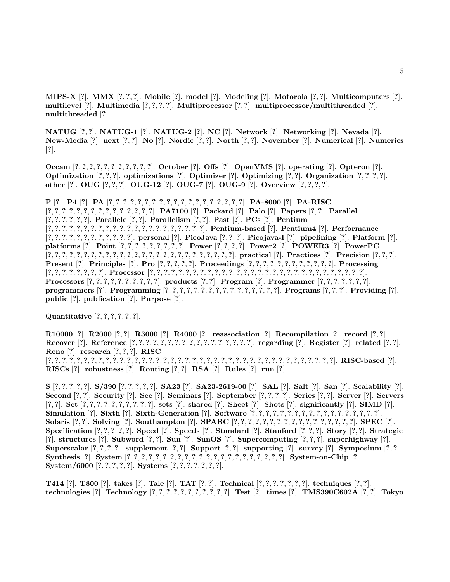**MIPS-X** [**?**]. **MMX** [**?**, **?**, **?**]. **Mobile** [**?**]. **model** [**?**]. **Modeling** [**?**]. **Motorola** [**?**, **?**]. **Multicomputers** [**?**]. **multilevel** [**?**]. **Multimedia** [**?**, **?**, **?**, **?**]. **Multiprocessor** [**?**, **?**]. **multiprocessor/multithreaded** [**?**]. **multithreaded** [**?**].

**NATUG** [**?**, **?**]. **NATUG-1** [**?**]. **NATUG-2** [**?**]. **NC** [**?**]. **Network** [**?**]. **Networking** [**?**]. **Nevada** [**?**]. New-Media [?]. next [?, ?]. No [?]. Nordic [?, ?]. North [?, ?]. November [?]. Numerical [?]. Numerics [**?**].

Occam  $[?,?,?,?,?,?,?,?,?,?]$ . October  $[?]$ . Offs  $[?]$ . OpenVMS  $[?]$ . operating  $[?]$ . Opteron  $[?]$ . **Optimization** [**?**, **?**, **?**]. **optimizations** [**?**]. **Optimizer** [**?**]. **Optimizing** [**?**, **?**]. **Organization** [**?**, **?**, **?**, **?**]. **other** [**?**]. **OUG** [**?**, **?**, **?**]. **OUG-12** [**?**]. **OUG-7** [**?**]. **OUG-9** [**?**]. **Overview** [**?**, **?**, **?**, **?**].

**P** [**?**]. **P4** [**?**]. **PA** [**?**, **?**, **?**, **?**, **?**, **?**, **?**, **?**, **?**, **?**, **?**, **?**, **?**, **?**, **?**, **?**, **?**, **?**, **?**]. **PA-8000** [**?**]. **PA-RISC**  $[?,?,?,?,?,?,?,?,?,?,?,?,?,?]$ . PA7100  $[?]$ . Packard  $[?]$ . Palo  $[?]$ . Papers  $[?,?,?,?,?,?,?,?,?,?,.)$ [**?**, **?**, **?**, **?**, **?**, **?**]. **Parallele** [**?**, **?**]. **Parallelism** [**?**, **?**]. **Past** [**?**]. **PCs** [**?**]. **Pentium**  $[?,?,?,?,?,?,?,?,?,?,?,?,?,?,?,?,?,?,?],$  Pentium-based  $[?]$ . Pentium4  $[?]$ . Performance  $[?,?,?,?,?,?,?,?,?,?,?,]$ . personal  $[?,$  PicoJava  $[?,?,+]$ . Picojava-I  $[?,$  pipelining  $[?,$  Platform  $[?,$ platforms [?]. Point [?, ?, ?, ?, ?, ?, ?, ?, ?, ?]. Power [?, ?, ?, ?]. Power2 [?]. POWER3 [?]. PowerPC  $[?,?,?,?,?,?,?,?,?,?,?,?,?,?,?,?,?,?,?,?,?,?,?,?,?,?,?,),]$ . practical  $[?]$ . Practices  $[?]$ . Precision  $[?,?,?,]$ . **Present** [?]. Principles [?]. Pro [?, ?, ?, ?, ?]. Proceedings  $[?,?,?,?,?,?,?,?,?,?,?,?,],$  ?]. Processing [**?**, **?**, **?**, **?**, **?**, **?**, **?**, **?**]. **Processor** [**?**, **?**, **?**, **?**, **?**, **?**, **?**, **?**, **?**, **?**, **?**, **?**, **?**, **?**, **?**, **?**, **?**, **?**, **?**, **?**, **?**, **?**, **?**, **?**, **?**, **?**, **?**, **?**, **?**, **?**]. **Processors** [?, ?, ?, ?, ?, ?, ?, ?, ?, ?]. products [?, ?]. Program [?]. Programmer [?, ?, ?, ?, ?, ?, ?]. programmers [?]. Programming  $[?,?,?,?,?,?,?,?,?,?,?,?,?,?,?,?,?,),$  Programs  $[?,?,?]$ . Providing  $[?]$ . **public** [**?**]. **publication** [**?**]. **Purpose** [**?**].

**Quantitative** [**?**, **?**, **?**, **?**, **?**, **?**].

**R10000** [**?**]. **R2000** [**?**, **?**]. **R3000** [**?**]. **R4000** [**?**]. **reassociation** [**?**]. **Recompilation** [**?**]. **record** [**?**, **?**]. Recover [?]. Reference  $[?,?,?,?,?,?,?,?,?,?,?,?,?,?,?,?,?,],$  regarding [?]. Register [?]. related [?,?]. **Reno** [**?**]. **research** [**?**, **?**, **?**]. **RISC** [**?**, **?**, **?**, **?**, **?**, **?**, **?**, **?**, **?**, **?**, **?**, **?**, **?**, **?**, **?**, **?**, **?**, **?**, **?**, **?**, **?**, **?**, **?**, **?**, **?**, **?**, **?**, **?**, **?**, **?**, **?**, **?**, **?**, **?**, **?**, **?**, **?**, **?**, **?**, **?**]. **RISC-based** [**?**]. **RISCs** [**?**]. **robustness** [**?**]. **Routing** [**?**, **?**]. **RSA** [**?**]. **Rules** [**?**]. **run** [**?**].

S [?, ?, ?, ?, ?]. S/390 [?, ?, ?, ?, ?]. SA23 [?]. SA23-2619-00 [?]. SAL [?]. Salt [?]. San [?]. Scalability [?]. Second [?, ?]. Security [?]. See [?]. Seminars [?]. September  $[?,?,?,?,]$ . Series [?, ?]. Server [?]. Servers [?, ?]. Set  $[?,?,?,?,?,?,?,?,?,?]$ . sets [?]. shared [?]. Sheet [?]. Shots [?]. significantly [?]. SIMD [?]. Simulation [?]. Sixth [?]. Sixth-Generation [?]. Software  $[?,?,?,?,?,?,?,?,?,?,?,?,?,?,?,?,?,?,?,?,?,?,$ ,... **Solaris** [**?**, **?**]. **Solving** [**?**]. **Southampton** [**?**]. **SPARC** [**?**, **?**, **?**, **?**, **?**, **?**, **?**, **?**, **?**, **?**, **?**, **?**, **?**, **?**, **?**, **?**, **?**]. **SPEC** [**?**]. Specification  $[?,?,?,?,?,']$ . Speed  $[?]$ . Speeds  $[?]$ . Standard  $[?]$ . Stanford  $[?,?,']$ . Story  $[?,?]$ . Strategic [**?**]. **structures** [**?**]. **Subword** [**?**, **?**]. **Sun** [**?**]. **SunOS** [**?**]. **Supercomputing** [**?**, **?**, **?**]. **superhighway** [**?**]. Superscalar [?, ?, ?, ?]. supplement [?, ?]. Support [?, ?]. supporting [?]. survey [?]. Symposium [?, ?]. Synthesis [?]. System  $[?,?,?,?,?,?,?,?,?,?,?,?,?,?,?,?,?,?,?,?,?,?,?,?,.),.$  System-on-Chip [?]. **System/6000** [**?**, **?**, **?**, **?**, **?**]. **Systems** [**?**, **?**, **?**, **?**, **?**, **?**, **?**].

T414 [?]. T800 [?]. takes [?]. Tale [?]. TAT [?, ?]. Technical [?, ?, ?, ?, ?, ?, ?]. techniques [?, ?]. technologies [?]. Technology  $[?,?,?,?,?,?,?,?,?,?],$  Test [?]. times [?]. TMS390C602A [?,?]. Tokyo